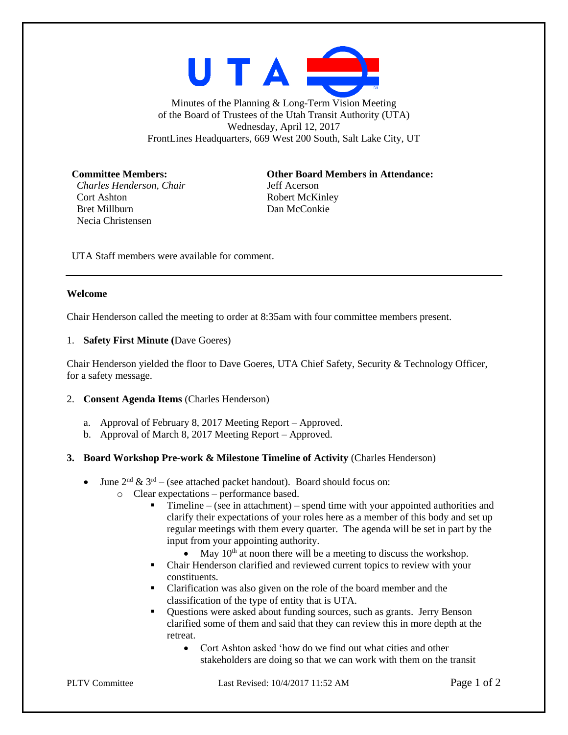

Minutes of the Planning  $&$  Long-Term Vision Meeting of the Board of Trustees of the Utah Transit Authority (UTA) Wednesday, April 12, 2017 FrontLines Headquarters, 669 West 200 South, Salt Lake City, UT

*Charles Henderson, Chair* Jeff Acerson Cort Ashton Robert McKinley Bret Millburn Dan McConkie Necia Christensen

**Committee Members: Other Board Members in Attendance:**

UTA Staff members were available for comment.

## **Welcome**

Chair Henderson called the meeting to order at 8:35am with four committee members present.

## 1. **Safety First Minute (**Dave Goeres)

Chair Henderson yielded the floor to Dave Goeres, UTA Chief Safety, Security & Technology Officer, for a safety message.

## 2. **Consent Agenda Items** (Charles Henderson)

- a. Approval of February 8, 2017 Meeting Report Approved.
- b. Approval of March 8, 2017 Meeting Report Approved.

## **3. Board Workshop Pre-work & Milestone Timeline of Activity** (Charles Henderson)

- June  $2^{nd}$  &  $3^{rd}$  (see attached packet handout). Board should focus on:
	- o Clear expectations performance based.
		- $\blacksquare$  Timeline (see in attachment) spend time with your appointed authorities and clarify their expectations of your roles here as a member of this body and set up regular meetings with them every quarter. The agenda will be set in part by the input from your appointing authority.
			- May  $10<sup>th</sup>$  at noon there will be a meeting to discuss the workshop.
		- Chair Henderson clarified and reviewed current topics to review with your constituents.
		- Clarification was also given on the role of the board member and the classification of the type of entity that is UTA.
		- Questions were asked about funding sources, such as grants. Jerry Benson clarified some of them and said that they can review this in more depth at the retreat.
			- Cort Ashton asked 'how do we find out what cities and other stakeholders are doing so that we can work with them on the transit